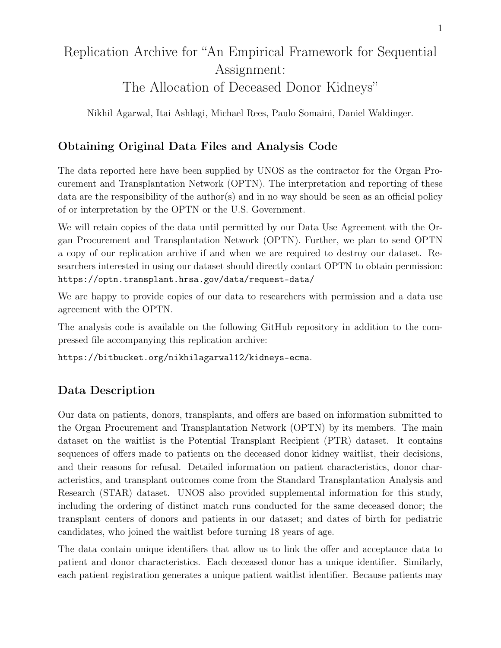# Replication Archive for "An Empirical Framework for Sequential Assignment: The Allocation of Deceased Donor Kidneys"

Nikhil Agarwal, Itai Ashlagi, Michael Rees, Paulo Somaini, Daniel Waldinger.

## Obtaining Original Data Files and Analysis Code

The data reported here have been supplied by UNOS as the contractor for the Organ Procurement and Transplantation Network (OPTN). The interpretation and reporting of these data are the responsibility of the author(s) and in no way should be seen as an official policy of or interpretation by the OPTN or the U.S. Government.

We will retain copies of the data until permitted by our Data Use Agreement with the Organ Procurement and Transplantation Network (OPTN). Further, we plan to send OPTN a copy of our replication archive if and when we are required to destroy our dataset. Researchers interested in using our dataset should directly contact OPTN to obtain permission: https://optn.transplant.hrsa.gov/data/request-data/

We are happy to provide copies of our data to researchers with permission and a data use agreement with the OPTN.

The analysis code is available on the following GitHub repository in addition to the compressed file accompanying this replication archive:

https://bitbucket.org/nikhilagarwal12/kidneys-ecma.

## Data Description

Our data on patients, donors, transplants, and offers are based on information submitted to the Organ Procurement and Transplantation Network (OPTN) by its members. The main dataset on the waitlist is the Potential Transplant Recipient (PTR) dataset. It contains sequences of offers made to patients on the deceased donor kidney waitlist, their decisions, and their reasons for refusal. Detailed information on patient characteristics, donor characteristics, and transplant outcomes come from the Standard Transplantation Analysis and Research (STAR) dataset. UNOS also provided supplemental information for this study, including the ordering of distinct match runs conducted for the same deceased donor; the transplant centers of donors and patients in our dataset; and dates of birth for pediatric candidates, who joined the waitlist before turning 18 years of age.

The data contain unique identifiers that allow us to link the offer and acceptance data to patient and donor characteristics. Each deceased donor has a unique identifier. Similarly, each patient registration generates a unique patient waitlist identifier. Because patients may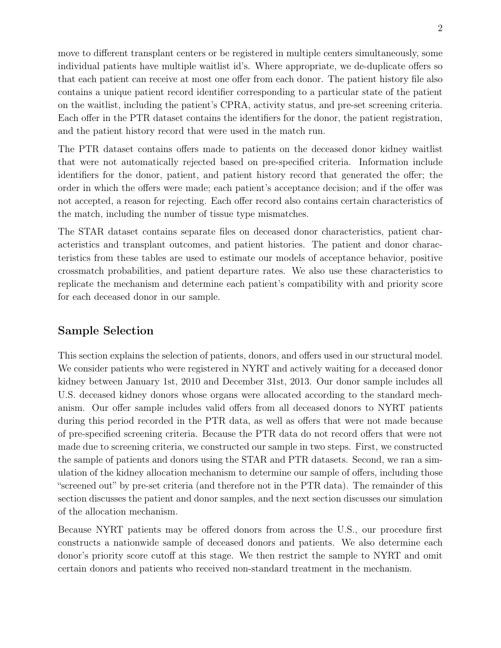move to different transplant centers or be registered in multiple centers simultaneously, some individual patients have multiple waitlist id's. Where appropriate, we de-duplicate offers so that each patient can receive at most one offer from each donor. The patient history file also contains a unique patient record identifier corresponding to a particular state of the patient on the waitlist, including the patient's CPRA, activity status, and pre-set screening criteria. Each offer in the PTR dataset contains the identifiers for the donor, the patient registration, and the patient history record that were used in the match run.

The PTR dataset contains offers made to patients on the deceased donor kidney waitlist that were not automatically rejected based on pre-specified criteria. Information include identifiers for the donor, patient, and patient history record that generated the offer; the order in which the offers were made; each patient's acceptance decision; and if the offer was not accepted, a reason for rejecting. Each offer record also contains certain characteristics of the match, including the number of tissue type mismatches.

The STAR dataset contains separate files on deceased donor characteristics, patient characteristics and transplant outcomes, and patient histories. The patient and donor characteristics from these tables are used to estimate our models of acceptance behavior, positive crossmatch probabilities, and patient departure rates. We also use these characteristics to replicate the mechanism and determine each patient's compatibility with and priority score for each deceased donor in our sample.

### Sample Selection

This section explains the selection of patients, donors, and offers used in our structural model. We consider patients who were registered in NYRT and actively waiting for a deceased donor kidney between January 1st, 2010 and December 31st, 2013. Our donor sample includes all U.S. deceased kidney donors whose organs were allocated according to the standard mechanism. Our offer sample includes valid offers from all deceased donors to NYRT patients during this period recorded in the PTR data, as well as offers that were not made because of pre-specified screening criteria. Because the PTR data do not record offers that were not made due to screening criteria, we constructed our sample in two steps. First, we constructed the sample of patients and donors using the STAR and PTR datasets. Second, we ran a simulation of the kidney allocation mechanism to determine our sample of offers, including those "screened out" by pre-set criteria (and therefore not in the PTR data). The remainder of this section discusses the patient and donor samples, and the next section discusses our simulation of the allocation mechanism.

Because NYRT patients may be offered donors from across the U.S., our procedure first constructs a nationwide sample of deceased donors and patients. We also determine each donor's priority score cutoff at this stage. We then restrict the sample to NYRT and omit certain donors and patients who received non-standard treatment in the mechanism.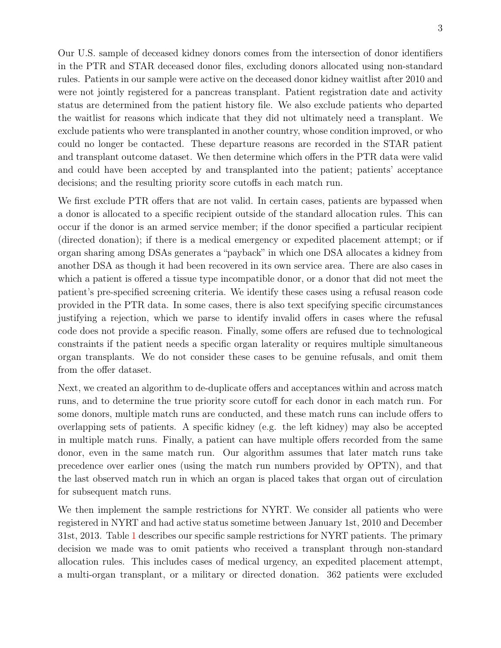Our U.S. sample of deceased kidney donors comes from the intersection of donor identifiers in the PTR and STAR deceased donor files, excluding donors allocated using non-standard rules. Patients in our sample were active on the deceased donor kidney waitlist after 2010 and were not jointly registered for a pancreas transplant. Patient registration date and activity status are determined from the patient history file. We also exclude patients who departed the waitlist for reasons which indicate that they did not ultimately need a transplant. We exclude patients who were transplanted in another country, whose condition improved, or who could no longer be contacted. These departure reasons are recorded in the STAR patient and transplant outcome dataset. We then determine which offers in the PTR data were valid and could have been accepted by and transplanted into the patient; patients' acceptance decisions; and the resulting priority score cutoffs in each match run.

We first exclude PTR offers that are not valid. In certain cases, patients are bypassed when a donor is allocated to a specific recipient outside of the standard allocation rules. This can occur if the donor is an armed service member; if the donor specified a particular recipient (directed donation); if there is a medical emergency or expedited placement attempt; or if organ sharing among DSAs generates a "payback" in which one DSA allocates a kidney from another DSA as though it had been recovered in its own service area. There are also cases in which a patient is offered a tissue type incompatible donor, or a donor that did not meet the patient's pre-specified screening criteria. We identify these cases using a refusal reason code provided in the PTR data. In some cases, there is also text specifying specific circumstances justifying a rejection, which we parse to identify invalid offers in cases where the refusal code does not provide a specific reason. Finally, some offers are refused due to technological constraints if the patient needs a specific organ laterality or requires multiple simultaneous organ transplants. We do not consider these cases to be genuine refusals, and omit them from the offer dataset.

Next, we created an algorithm to de-duplicate offers and acceptances within and across match runs, and to determine the true priority score cutoff for each donor in each match run. For some donors, multiple match runs are conducted, and these match runs can include offers to overlapping sets of patients. A specific kidney (e.g. the left kidney) may also be accepted in multiple match runs. Finally, a patient can have multiple offers recorded from the same donor, even in the same match run. Our algorithm assumes that later match runs take precedence over earlier ones (using the match run numbers provided by OPTN), and that the last observed match run in which an organ is placed takes that organ out of circulation for subsequent match runs.

We then implement the sample restrictions for NYRT. We consider all patients who were registered in NYRT and had active status sometime between January 1st, 2010 and December 31st, 2013. Table [1](#page-6-0) describes our specific sample restrictions for NYRT patients. The primary decision we made was to omit patients who received a transplant through non-standard allocation rules. This includes cases of medical urgency, an expedited placement attempt, a multi-organ transplant, or a military or directed donation. 362 patients were excluded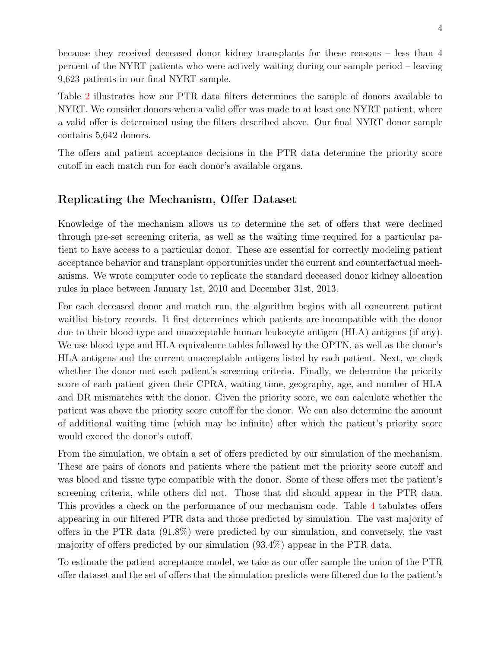because they received deceased donor kidney transplants for these reasons – less than 4 percent of the NYRT patients who were actively waiting during our sample period – leaving 9,623 patients in our final NYRT sample.

Table [2](#page-6-1) illustrates how our PTR data filters determines the sample of donors available to NYRT. We consider donors when a valid offer was made to at least one NYRT patient, where a valid offer is determined using the filters described above. Our final NYRT donor sample contains 5,642 donors.

The offers and patient acceptance decisions in the PTR data determine the priority score cutoff in each match run for each donor's available organs.

## Replicating the Mechanism, Offer Dataset

Knowledge of the mechanism allows us to determine the set of offers that were declined through pre-set screening criteria, as well as the waiting time required for a particular patient to have access to a particular donor. These are essential for correctly modeling patient acceptance behavior and transplant opportunities under the current and counterfactual mechanisms. We wrote computer code to replicate the standard deceased donor kidney allocation rules in place between January 1st, 2010 and December 31st, 2013.

For each deceased donor and match run, the algorithm begins with all concurrent patient waitlist history records. It first determines which patients are incompatible with the donor due to their blood type and unacceptable human leukocyte antigen (HLA) antigens (if any). We use blood type and HLA equivalence tables followed by the OPTN, as well as the donor's HLA antigens and the current unacceptable antigens listed by each patient. Next, we check whether the donor met each patient's screening criteria. Finally, we determine the priority score of each patient given their CPRA, waiting time, geography, age, and number of HLA and DR mismatches with the donor. Given the priority score, we can calculate whether the patient was above the priority score cutoff for the donor. We can also determine the amount of additional waiting time (which may be infinite) after which the patient's priority score would exceed the donor's cutoff.

From the simulation, we obtain a set of offers predicted by our simulation of the mechanism. These are pairs of donors and patients where the patient met the priority score cutoff and was blood and tissue type compatible with the donor. Some of these offers met the patient's screening criteria, while others did not. Those that did should appear in the PTR data. This provides a check on the performance of our mechanism code. Table [4](#page-7-0) tabulates offers appearing in our filtered PTR data and those predicted by simulation. The vast majority of offers in the PTR data (91.8%) were predicted by our simulation, and conversely, the vast majority of offers predicted by our simulation (93.4%) appear in the PTR data.

To estimate the patient acceptance model, we take as our offer sample the union of the PTR offer dataset and the set of offers that the simulation predicts were filtered due to the patient's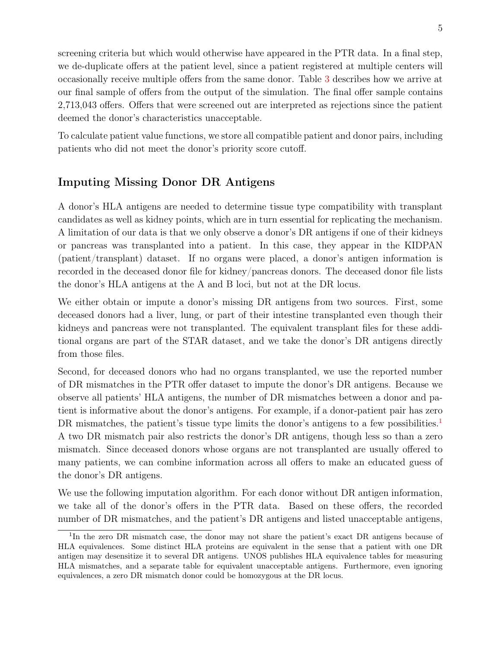screening criteria but which would otherwise have appeared in the PTR data. In a final step, we de-duplicate offers at the patient level, since a patient registered at multiple centers will occasionally receive multiple offers from the same donor. Table [3](#page-7-1) describes how we arrive at our final sample of offers from the output of the simulation. The final offer sample contains 2,713,043 offers. Offers that were screened out are interpreted as rejections since the patient deemed the donor's characteristics unacceptable.

To calculate patient value functions, we store all compatible patient and donor pairs, including patients who did not meet the donor's priority score cutoff.

### Imputing Missing Donor DR Antigens

A donor's HLA antigens are needed to determine tissue type compatibility with transplant candidates as well as kidney points, which are in turn essential for replicating the mechanism. A limitation of our data is that we only observe a donor's DR antigens if one of their kidneys or pancreas was transplanted into a patient. In this case, they appear in the KIDPAN (patient/transplant) dataset. If no organs were placed, a donor's antigen information is recorded in the deceased donor file for kidney/pancreas donors. The deceased donor file lists the donor's HLA antigens at the A and B loci, but not at the DR locus.

We either obtain or impute a donor's missing DR antigens from two sources. First, some deceased donors had a liver, lung, or part of their intestine transplanted even though their kidneys and pancreas were not transplanted. The equivalent transplant files for these additional organs are part of the STAR dataset, and we take the donor's DR antigens directly from those files.

Second, for deceased donors who had no organs transplanted, we use the reported number of DR mismatches in the PTR offer dataset to impute the donor's DR antigens. Because we observe all patients' HLA antigens, the number of DR mismatches between a donor and patient is informative about the donor's antigens. For example, if a donor-patient pair has zero DR mismatches, the patient's tissue type limits the donor's antigens to a few possibilities.<sup>[1](#page-4-0)</sup> A two DR mismatch pair also restricts the donor's DR antigens, though less so than a zero mismatch. Since deceased donors whose organs are not transplanted are usually offered to many patients, we can combine information across all offers to make an educated guess of the donor's DR antigens.

We use the following imputation algorithm. For each donor without DR antigen information, we take all of the donor's offers in the PTR data. Based on these offers, the recorded number of DR mismatches, and the patient's DR antigens and listed unacceptable antigens,

<span id="page-4-0"></span><sup>&</sup>lt;sup>1</sup>In the zero DR mismatch case, the donor may not share the patient's exact DR antigens because of HLA equivalences. Some distinct HLA proteins are equivalent in the sense that a patient with one DR antigen may desensitize it to several DR antigens. UNOS publishes HLA equivalence tables for measuring HLA mismatches, and a separate table for equivalent unacceptable antigens. Furthermore, even ignoring equivalences, a zero DR mismatch donor could be homozygous at the DR locus.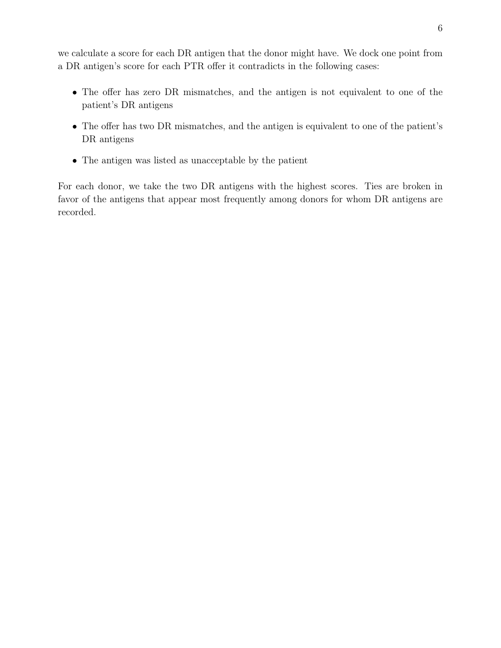we calculate a score for each DR antigen that the donor might have. We dock one point from a DR antigen's score for each PTR offer it contradicts in the following cases:

- The offer has zero DR mismatches, and the antigen is not equivalent to one of the patient's DR antigens
- The offer has two DR mismatches, and the antigen is equivalent to one of the patient's DR antigens
- The antigen was listed as unacceptable by the patient

For each donor, we take the two DR antigens with the highest scores. Ties are broken in favor of the antigens that appear most frequently among donors for whom DR antigens are recorded.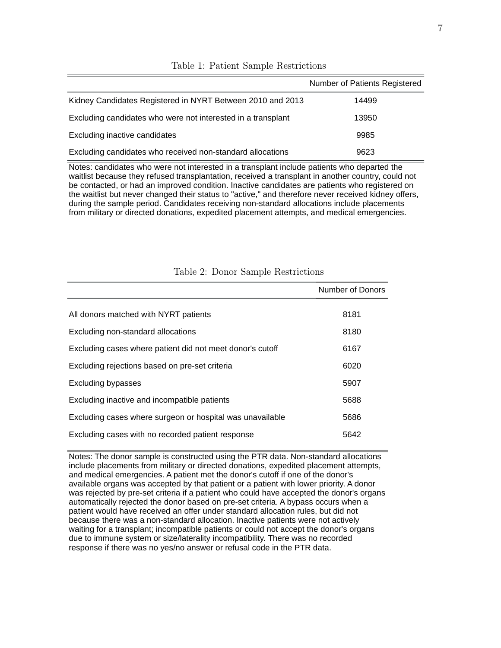|                                                              | Number of Patients Registered |
|--------------------------------------------------------------|-------------------------------|
| Kidney Candidates Registered in NYRT Between 2010 and 2013   | 14499                         |
| Excluding candidates who were not interested in a transplant | 13950                         |
| Excluding inactive candidates                                | 9985                          |
| Excluding candidates who received non-standard allocations   | 9623                          |

#### <span id="page-6-0"></span>Table 1: Patient Sample Restrictions

Notes: candidates who were not interested in a transplant include patients who departed the waitlist because they refused transplantation, received a transplant in another country, could not be contacted, or had an improved condition. Inactive candidates are patients who registered on the waitlist but never changed their status to "active," and therefore never received kidney offers, during the sample period. Candidates receiving non-standard allocations include placements from military or directed donations, expedited placement attempts, and medical emergencies.

|                                                           | Number of Donors |
|-----------------------------------------------------------|------------------|
|                                                           |                  |
| All donors matched with NYRT patients                     | 8181             |
| Excluding non-standard allocations                        | 8180             |
| Excluding cases where patient did not meet donor's cutoff | 6167             |
| Excluding rejections based on pre-set criteria            | 6020             |
| Excluding bypasses                                        | 5907             |
| Excluding inactive and incompatible patients              | 5688             |
| Excluding cases where surgeon or hospital was unavailable | 5686             |
| Excluding cases with no recorded patient response         | 5642             |

#### <span id="page-6-1"></span>Table 2: Donor Sample Restrictions

Notes: The donor sample is constructed using the PTR data. Non-standard allocations include placements from military or directed donations, expedited placement attempts, and medical emergencies. A patient met the donor's cutoff if one of the donor's available organs was accepted by that patient or a patient with lower priority. A donor was rejected by pre-set criteria if a patient who could have accepted the donor's organs automatically rejected the donor based on pre-set criteria. A bypass occurs when a patient would have received an offer under standard allocation rules, but did not because there was a non-standard allocation. Inactive patients were not actively waiting for a transplant; incompatible patients or could not accept the donor's organs due to immune system or size/laterality incompatibility. There was no recorded response if there was no yes/no answer or refusal code in the PTR data.